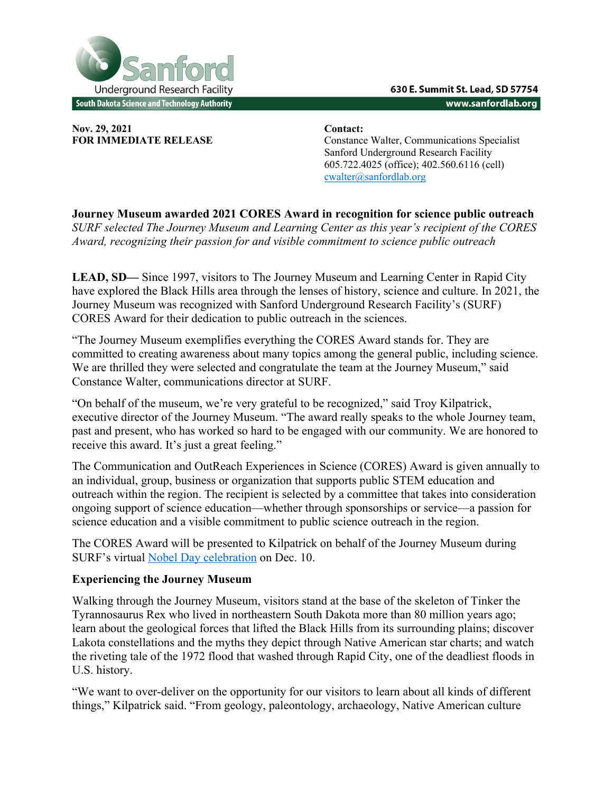

**Nov. 29, 2021 Contact:** 

**FOR IMMEDIATE RELEASE** Constance Walter, Communications Specialist Sanford Underground Research Facility 605.722.4025 (office); 402.560.6116 (cell) cwalter@sanfordlab.org

**Journey Museum awarded 2021 CORES Award in recognition for science public outreach**  *SURF selected The Journey Museum and Learning Center as this year's recipient of the CORES Award, recognizing their passion for and visible commitment to science public outreach*

**LEAD, SD—** Since 1997, visitors to The Journey Museum and Learning Center in Rapid City have explored the Black Hills area through the lenses of history, science and culture. In 2021, the Journey Museum was recognized with Sanford Underground Research Facility's (SURF) CORES Award for their dedication to public outreach in the sciences.

"The Journey Museum exemplifies everything the CORES Award stands for. They are committed to creating awareness about many topics among the general public, including science. We are thrilled they were selected and congratulate the team at the Journey Museum," said Constance Walter, communications director at SURF.

"On behalf of the museum, we're very grateful to be recognized," said Troy Kilpatrick, executive director of the Journey Museum. "The award really speaks to the whole Journey team, past and present, who has worked so hard to be engaged with our community. We are honored to receive this award. It's just a great feeling."

The Communication and OutReach Experiences in Science (CORES) Award is given annually to an individual, group, business or organization that supports public STEM education and outreach within the region. The recipient is selected by a committee that takes into consideration ongoing support of science education—whether through sponsorships or service—a passion for science education and a visible commitment to public science outreach in the region.

The CORES Award will be presented to Kilpatrick on behalf of the Journey Museum during SURF's virtual Nobel Day celebration on Dec. 10.

## **Experiencing the Journey Museum**

Walking through the Journey Museum, visitors stand at the base of the skeleton of Tinker the Tyrannosaurus Rex who lived in northeastern South Dakota more than 80 million years ago; learn about the geological forces that lifted the Black Hills from its surrounding plains; discover Lakota constellations and the myths they depict through Native American star charts; and watch the riveting tale of the 1972 flood that washed through Rapid City, one of the deadliest floods in U.S. history.

"We want to over-deliver on the opportunity for our visitors to learn about all kinds of different things," Kilpatrick said. "From geology, paleontology, archaeology, Native American culture